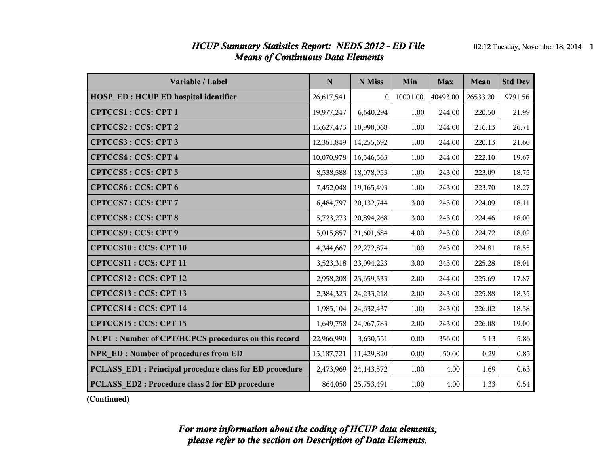#### *HCUP Summary Statistics Report: NEDS 2012 - ED File* 02:12 Tuesday, November 18, 2014 1 *Means of Continuous Data Elements*

| Variable / Label                                        | $\mathbf N$  | N Miss         | Min      | <b>Max</b> | Mean     | <b>Std Dev</b> |
|---------------------------------------------------------|--------------|----------------|----------|------------|----------|----------------|
| <b>HOSP ED: HCUP ED hospital identifier</b>             | 26,617,541   | $\overline{0}$ | 10001.00 | 40493.00   | 26533.20 | 9791.56        |
| CPTCCS1: CCS: CPT 1                                     | 19,977,247   | 6,640,294      | 1.00     | 244.00     | 220.50   | 21.99          |
| CPTCCS2: CCS: CPT 2                                     | 15,627,473   | 10,990,068     | 1.00     | 244.00     | 216.13   | 26.71          |
| CPTCCS3: CCS: CPT 3                                     | 12,361,849   | 14,255,692     | 1.00     | 244.00     | 220.13   | 21.60          |
| <b>CPTCCS4: CCS: CPT 4</b>                              | 10,070,978   | 16,546,563     | 1.00     | 244.00     | 222.10   | 19.67          |
| CPTCCS5: CCS: CPT 5                                     | 8,538,588    | 18,078,953     | 1.00     | 243.00     | 223.09   | 18.75          |
| <b>CPTCCS6: CCS: CPT 6</b>                              | 7,452,048    | 19,165,493     | 1.00     | 243.00     | 223.70   | 18.27          |
| CPTCCS7: CCS: CPT 7                                     | 6,484,797    | 20,132,744     | 3.00     | 243.00     | 224.09   | 18.11          |
| <b>CPTCCS8: CCS: CPT 8</b>                              | 5,723,273    | 20,894,268     | 3.00     | 243.00     | 224.46   | 18.00          |
| CPTCCS9: CCS: CPT 9                                     | 5,015,857    | 21,601,684     | 4.00     | 243.00     | 224.72   | 18.02          |
| <b>CPTCCS10: CCS: CPT 10</b>                            | 4,344,667    | 22,272,874     | 1.00     | 243.00     | 224.81   | 18.55          |
| CPTCCS11: CCS: CPT 11                                   | 3,523,318    | 23,094,223     | 3.00     | 243.00     | 225.28   | 18.01          |
| CPTCCS12: CCS: CPT 12                                   | 2,958,208    | 23,659,333     | 2.00     | 244.00     | 225.69   | 17.87          |
| CPTCCS13: CCS: CPT 13                                   | 2,384,323    | 24, 233, 218   | 2.00     | 243.00     | 225.88   | 18.35          |
| CPTCCS14 : CCS: CPT 14                                  | 1,985,104    | 24,632,437     | 1.00     | 243.00     | 226.02   | 18.58          |
| CPTCCS15: CCS: CPT 15                                   | 1,649,758    | 24,967,783     | 2.00     | 243.00     | 226.08   | 19.00          |
| NCPT: Number of CPT/HCPCS procedures on this record     | 22,966,990   | 3,650,551      | 0.00     | 356.00     | 5.13     | 5.86           |
| NPR ED: Number of procedures from ED                    | 15, 187, 721 | 11,429,820     | 0.00     | 50.00      | 0.29     | 0.85           |
| PCLASS ED1 : Principal procedure class for ED procedure | 2,473,969    | 24, 143, 572   | 1.00     | 4.00       | 1.69     | 0.63           |
| PCLASS ED2: Procedure class 2 for ED procedure          | 864,050      | 25,753,491     | 1.00     | 4.00       | 1.33     | 0.54           |

**(Continued)**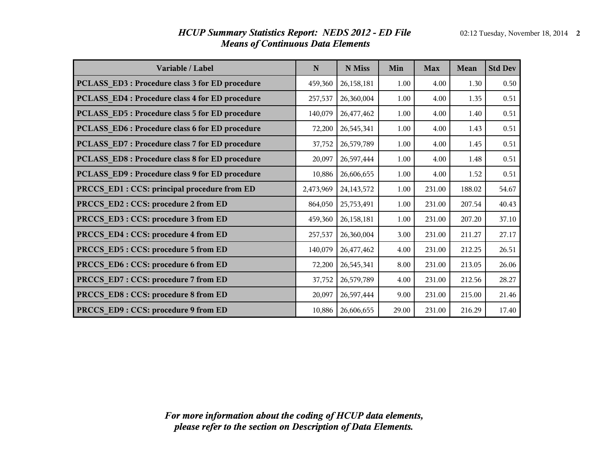| Variable / Label                                | $\mathbf N$ | N Miss       | Min   | <b>Max</b> | Mean   | <b>Std Dev</b> |
|-------------------------------------------------|-------------|--------------|-------|------------|--------|----------------|
| PCLASS_ED3: Procedure class 3 for ED procedure  | 459,360     | 26,158,181   | 1.00  | 4.00       | 1.30   | 0.50           |
| PCLASS_ED4: Procedure class 4 for ED procedure  | 257,537     | 26,360,004   | 1.00  | 4.00       | 1.35   | 0.51           |
| PCLASS ED5: Procedure class 5 for ED procedure  | 140,079     | 26,477,462   | 1.00  | 4.00       | 1.40   | 0.51           |
| PCLASS ED6 : Procedure class 6 for ED procedure | 72,200      | 26,545,341   | 1.00  | 4.00       | 1.43   | 0.51           |
| PCLASS ED7: Procedure class 7 for ED procedure  | 37,752      | 26,579,789   | 1.00  | 4.00       | 1.45   | 0.51           |
| PCLASS ED8 : Procedure class 8 for ED procedure | 20,097      | 26,597,444   | 1.00  | 4.00       | 1.48   | 0.51           |
| PCLASS_ED9: Procedure class 9 for ED procedure  | 10,886      | 26,606,655   | 1.00  | 4.00       | 1.52   | 0.51           |
| PRCCS_ED1 : CCS: principal procedure from ED    | 2,473,969   | 24, 143, 572 | 1.00  | 231.00     | 188.02 | 54.67          |
| PRCCS ED2 : CCS: procedure 2 from ED            | 864,050     | 25,753,491   | 1.00  | 231.00     | 207.54 | 40.43          |
| PRCCS ED3 : CCS: procedure 3 from ED            | 459,360     | 26,158,181   | 1.00  | 231.00     | 207.20 | 37.10          |
| PRCCS ED4 : CCS: procedure 4 from ED            | 257,537     | 26,360,004   | 3.00  | 231.00     | 211.27 | 27.17          |
| PRCCS_ED5: CCS: procedure 5 from ED             | 140,079     | 26,477,462   | 4.00  | 231.00     | 212.25 | 26.51          |
| PRCCS_ED6: CCS: procedure 6 from ED             | 72,200      | 26,545,341   | 8.00  | 231.00     | 213.05 | 26.06          |
| PRCCS_ED7: CCS: procedure 7 from ED             | 37,752      | 26,579,789   | 4.00  | 231.00     | 212.56 | 28.27          |
| PRCCS_ED8: CCS: procedure 8 from ED             | 20,097      | 26,597,444   | 9.00  | 231.00     | 215.00 | 21.46          |
| PRCCS ED9 : CCS: procedure 9 from ED            | 10,886      | 26,606,655   | 29.00 | 231.00     | 216.29 | 17.40          |

#### *HCUP Summary Statistics Report: NEDS 2012 - ED File* 02:12 Tuesday, November 18, 2014 2 *Means of Continuous Data Elements*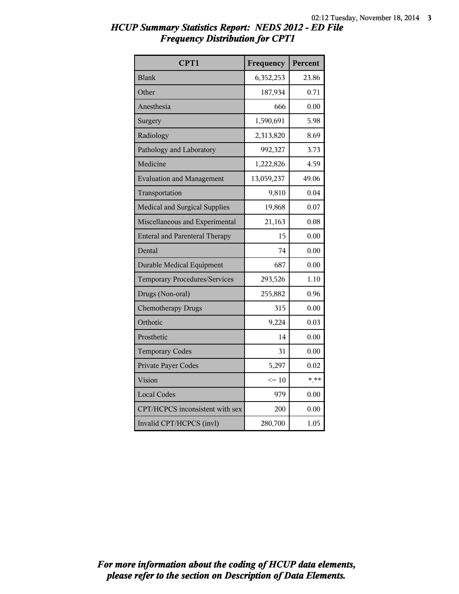| CPT1                                  | Frequency       | Percent |
|---------------------------------------|-----------------|---------|
| <b>Blank</b>                          | 6,352,253       | 23.86   |
| Other                                 | 187,934         | 0.71    |
| Anesthesia                            | 666             | 0.00    |
| Surgery                               | 1,590,691       | 5.98    |
| Radiology                             | 2,313,820       | 8.69    |
| Pathology and Laboratory              | 992,327         | 3.73    |
| Medicine                              | 1,222,826       | 4.59    |
| <b>Evaluation and Management</b>      | 13,059,237      | 49.06   |
| Transportation                        | 9,810           | 0.04    |
| <b>Medical and Surgical Supplies</b>  | 19,868          | 0.07    |
| Miscellaneous and Experimental        | 21,163          | 0.08    |
| <b>Enteral and Parenteral Therapy</b> | 15              | 0.00    |
| Dental                                | 74              | 0.00    |
| <b>Durable Medical Equipment</b>      | 687             | 0.00    |
| <b>Temporary Procedures/Services</b>  | 293,526         | 1.10    |
| Drugs (Non-oral)                      | 255,882         | 0.96    |
| <b>Chemotherapy Drugs</b>             | 315             | 0.00    |
| Orthotic                              | 9,224           | 0.03    |
| Prosthetic                            | 14              | 0.00    |
| <b>Temporary Codes</b>                | 31              | 0.00    |
| Private Payer Codes                   | 5,297           | 0.02    |
| Vision                                | $\Leftarrow$ 10 | $* * *$ |
| <b>Local Codes</b>                    | 979             | 0.00    |
| CPT/HCPCS inconsistent with sex       | 200             | 0.00    |
| Invalid CPT/HCPCS (invl)              | 280,700         | 1.05    |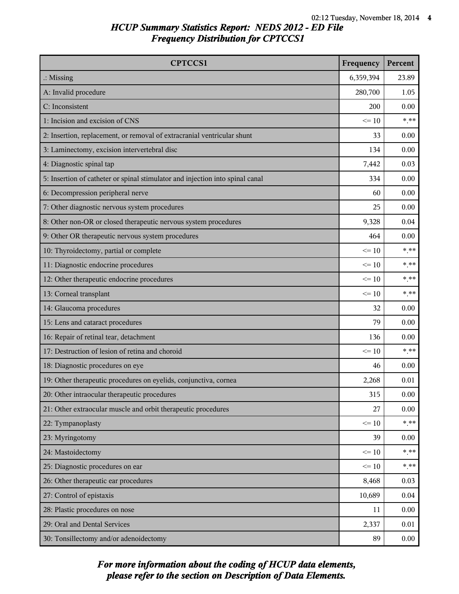| <b>CPTCCS1</b>                                                                | Frequency | Percent |
|-------------------------------------------------------------------------------|-----------|---------|
| $\therefore$ Missing                                                          | 6,359,394 | 23.89   |
| A: Invalid procedure                                                          | 280,700   | 1.05    |
| C: Inconsistent                                                               | 200       | 0.00    |
| 1: Incision and excision of CNS                                               | $\leq 10$ | $* * *$ |
| 2: Insertion, replacement, or removal of extracranial ventricular shunt       | 33        | 0.00    |
| 3: Laminectomy, excision intervertebral disc                                  | 134       | 0.00    |
| 4: Diagnostic spinal tap                                                      | 7,442     | 0.03    |
| 5: Insertion of catheter or spinal stimulator and injection into spinal canal | 334       | 0.00    |
| 6: Decompression peripheral nerve                                             | 60        | 0.00    |
| 7: Other diagnostic nervous system procedures                                 | 25        | 0.00    |
| 8: Other non-OR or closed therapeutic nervous system procedures               | 9,328     | 0.04    |
| 9: Other OR therapeutic nervous system procedures                             | 464       | 0.00    |
| 10: Thyroidectomy, partial or complete                                        | $\leq 10$ | $***$   |
| 11: Diagnostic endocrine procedures                                           | $\leq 10$ | $* * *$ |
| 12: Other therapeutic endocrine procedures                                    | $\leq 10$ | $***$   |
| 13: Corneal transplant                                                        | $\leq 10$ | $***$   |
| 14: Glaucoma procedures                                                       | 32        | 0.00    |
| 15: Lens and cataract procedures                                              | 79        | 0.00    |
| 16: Repair of retinal tear, detachment                                        | 136       | 0.00    |
| 17: Destruction of lesion of retina and choroid                               | $\leq 10$ | $***$   |
| 18: Diagnostic procedures on eye                                              | 46        | 0.00    |
| 19: Other therapeutic procedures on eyelids, conjunctiva, cornea              | 2,268     | 0.01    |
| 20: Other intraocular therapeutic procedures                                  | 315       | 0.00    |
| 21: Other extraocular muscle and orbit therapeutic procedures                 | 27        | 0.00    |
| 22: Tympanoplasty                                                             | $\leq 10$ | $* * *$ |
| 23: Myringotomy                                                               | 39        | 0.00    |
| 24: Mastoidectomy                                                             | $\leq 10$ | $* * *$ |
| 25: Diagnostic procedures on ear                                              | $\leq 10$ | $***$   |
| 26: Other therapeutic ear procedures                                          | 8,468     | 0.03    |
| 27: Control of epistaxis                                                      | 10,689    | 0.04    |
| 28: Plastic procedures on nose                                                | 11        | 0.00    |
| 29: Oral and Dental Services                                                  | 2,337     | 0.01    |
| 30: Tonsillectomy and/or adenoidectomy                                        | 89        | 0.00    |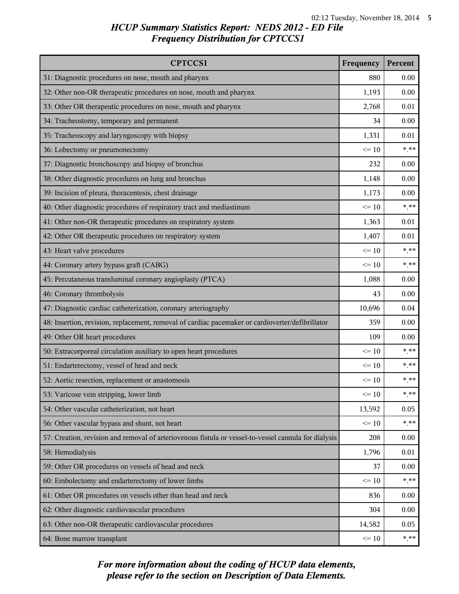| <b>CPTCCS1</b>                                                                                       | Frequency | Percent |
|------------------------------------------------------------------------------------------------------|-----------|---------|
| 31: Diagnostic procedures on nose, mouth and pharynx                                                 | 880       | 0.00    |
| 32: Other non-OR therapeutic procedures on nose, mouth and pharynx                                   | 1,193     | 0.00    |
| 33: Other OR therapeutic procedures on nose, mouth and pharynx                                       | 2,768     | 0.01    |
| 34: Tracheostomy, temporary and permanent                                                            | 34        | 0.00    |
| 35: Tracheoscopy and laryngoscopy with biopsy                                                        | 1,331     | 0.01    |
| 36: Lobectomy or pneumonectomy                                                                       | $\leq 10$ | $***$   |
| 37: Diagnostic bronchoscopy and biopsy of bronchus                                                   | 232       | 0.00    |
| 38: Other diagnostic procedures on lung and bronchus                                                 | 1,148     | 0.00    |
| 39: Incision of pleura, thoracentesis, chest drainage                                                | 1,173     | 0.00    |
| 40: Other diagnostic procedures of respiratory tract and mediastinum                                 | $\leq 10$ | $* * *$ |
| 41: Other non-OR therapeutic procedures on respiratory system                                        | 1,363     | 0.01    |
| 42: Other OR therapeutic procedures on respiratory system                                            | 1,407     | 0.01    |
| 43: Heart valve procedures                                                                           | $\leq 10$ | $***$   |
| 44: Coronary artery bypass graft (CABG)                                                              | $\leq 10$ | $***$   |
| 45: Percutaneous transluminal coronary angioplasty (PTCA)                                            | 1,088     | 0.00    |
| 46: Coronary thrombolysis                                                                            | 43        | 0.00    |
| 47: Diagnostic cardiac catheterization, coronary arteriography                                       | 10,696    | 0.04    |
| 48: Insertion, revision, replacement, removal of cardiac pacemaker or cardioverter/defibrillator     | 359       | 0.00    |
| 49: Other OR heart procedures                                                                        | 109       | 0.00    |
| 50: Extracorporeal circulation auxiliary to open heart procedures                                    | $\leq 10$ | $***$   |
| 51: Endarterectomy, vessel of head and neck                                                          | $\leq 10$ | $***$   |
| 52: Aortic resection, replacement or anastomosis                                                     | $\leq 10$ | $***$   |
| 53: Varicose vein stripping, lower limb                                                              | $\leq 10$ | $* * *$ |
| 54: Other vascular catheterization, not heart                                                        | 13,592    | 0.05    |
| 56: Other vascular bypass and shunt, not heart                                                       | $\leq 10$ | $***$   |
| 57: Creation, revision and removal of arteriovenous fistula or vessel-to-vessel cannula for dialysis | 208       | 0.00    |
| 58: Hemodialysis                                                                                     | 1,796     | 0.01    |
| 59: Other OR procedures on vessels of head and neck                                                  | 37        | 0.00    |
| 60: Embolectomy and endarterectomy of lower limbs                                                    | $\leq 10$ | $***$   |
| 61: Other OR procedures on vessels other than head and neck                                          | 836       | 0.00    |
| 62: Other diagnostic cardiovascular procedures                                                       | 304       | 0.00    |
| 63: Other non-OR therapeutic cardiovascular procedures                                               | 14,582    | 0.05    |
| 64: Bone marrow transplant                                                                           | $\leq 10$ | $***$   |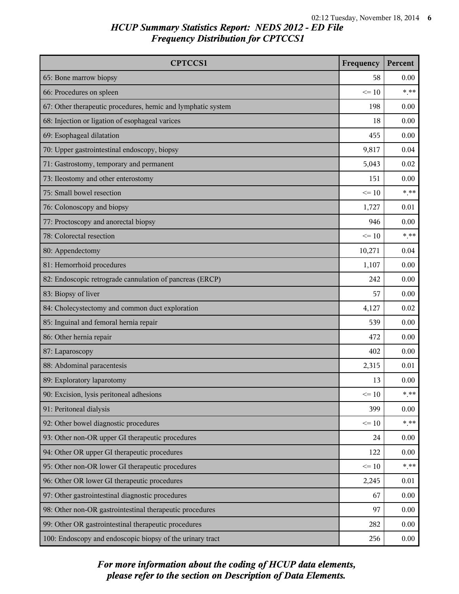| <b>CPTCCS1</b>                                               | Frequency | Percent |
|--------------------------------------------------------------|-----------|---------|
| 65: Bone marrow biopsy                                       | 58        | 0.00    |
| 66: Procedures on spleen                                     | $\leq 10$ | $***$   |
| 67: Other therapeutic procedures, hemic and lymphatic system | 198       | 0.00    |
| 68: Injection or ligation of esophageal varices              | 18        | 0.00    |
| 69: Esophageal dilatation                                    | 455       | 0.00    |
| 70: Upper gastrointestinal endoscopy, biopsy                 | 9,817     | 0.04    |
| 71: Gastrostomy, temporary and permanent                     | 5,043     | 0.02    |
| 73: Ileostomy and other enterostomy                          | 151       | 0.00    |
| 75: Small bowel resection                                    | $\leq 10$ | $***$   |
| 76: Colonoscopy and biopsy                                   | 1,727     | 0.01    |
| 77: Proctoscopy and anorectal biopsy                         | 946       | 0.00    |
| 78: Colorectal resection                                     | $\leq 10$ | $***$   |
| 80: Appendectomy                                             | 10,271    | 0.04    |
| 81: Hemorrhoid procedures                                    | 1,107     | 0.00    |
| 82: Endoscopic retrograde cannulation of pancreas (ERCP)     | 242       | 0.00    |
| 83: Biopsy of liver                                          | 57        | 0.00    |
| 84: Cholecystectomy and common duct exploration              | 4,127     | 0.02    |
| 85: Inguinal and femoral hernia repair                       | 539       | 0.00    |
| 86: Other hernia repair                                      | 472       | 0.00    |
| 87: Laparoscopy                                              | 402       | 0.00    |
| 88: Abdominal paracentesis                                   | 2,315     | 0.01    |
| 89: Exploratory laparotomy                                   | 13        | 0.00    |
| 90: Excision, lysis peritoneal adhesions                     | $\leq 10$ | $***$   |
| 91: Peritoneal dialysis                                      | 399       | 0.00    |
| 92: Other bowel diagnostic procedures                        | $\leq 10$ | $***$   |
| 93: Other non-OR upper GI therapeutic procedures             | 24        | 0.00    |
| 94: Other OR upper GI therapeutic procedures                 | 122       | 0.00    |
| 95: Other non-OR lower GI therapeutic procedures             | $\leq 10$ | $***$   |
| 96: Other OR lower GI therapeutic procedures                 | 2,245     | 0.01    |
| 97: Other gastrointestinal diagnostic procedures             | 67        | 0.00    |
| 98: Other non-OR gastrointestinal therapeutic procedures     | 97        | 0.00    |
| 99: Other OR gastrointestinal therapeutic procedures         | 282       | 0.00    |
| 100: Endoscopy and endoscopic biopsy of the urinary tract    | 256       | 0.00    |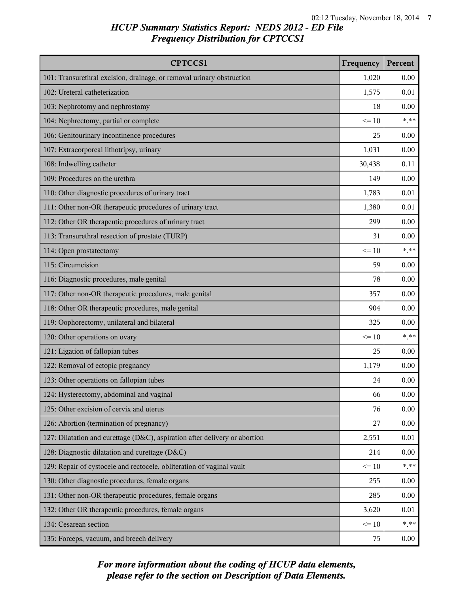| <b>CPTCCS1</b>                                                             | Frequency | Percent        |
|----------------------------------------------------------------------------|-----------|----------------|
| 101: Transurethral excision, drainage, or removal urinary obstruction      | 1,020     | 0.00           |
| 102: Ureteral catheterization                                              | 1,575     | 0.01           |
| 103: Nephrotomy and nephrostomy                                            | 18        | 0.00           |
| 104: Nephrectomy, partial or complete                                      | $\leq 10$ | $***$          |
| 106: Genitourinary incontinence procedures                                 | 25        | 0.00           |
| 107: Extracorporeal lithotripsy, urinary                                   | 1,031     | 0.00           |
| 108: Indwelling catheter                                                   | 30,438    | 0.11           |
| 109: Procedures on the urethra                                             | 149       | 0.00           |
| 110: Other diagnostic procedures of urinary tract                          | 1,783     | 0.01           |
| 111: Other non-OR therapeutic procedures of urinary tract                  | 1,380     | 0.01           |
| 112: Other OR therapeutic procedures of urinary tract                      | 299       | 0.00           |
| 113: Transurethral resection of prostate (TURP)                            | 31        | 0.00           |
| 114: Open prostatectomy                                                    | $\leq 10$ | $***$          |
| 115: Circumcision                                                          | 59        | 0.00           |
| 116: Diagnostic procedures, male genital                                   | 78        | 0.00           |
| 117: Other non-OR therapeutic procedures, male genital                     | 357       | 0.00           |
| 118: Other OR therapeutic procedures, male genital                         | 904       | 0.00           |
| 119: Oophorectomy, unilateral and bilateral                                | 325       | 0.00           |
| 120: Other operations on ovary                                             | $\leq 10$ | $***$          |
| 121: Ligation of fallopian tubes                                           | 25        | 0.00           |
| 122: Removal of ectopic pregnancy                                          | 1,179     | 0.00           |
| 123: Other operations on fallopian tubes                                   | 24        | 0.00           |
| 124: Hysterectomy, abdominal and vaginal                                   | 66        | 0.00           |
| 125: Other excision of cervix and uterus                                   | 76        | 0.00           |
| 126: Abortion (termination of pregnancy)                                   | 27        | 0.00           |
| 127: Dilatation and curettage (D&C), aspiration after delivery or abortion | 2,551     | 0.01           |
| 128: Diagnostic dilatation and curettage (D&C)                             | 214       | 0.00           |
| 129: Repair of cystocele and rectocele, obliteration of vaginal vault      | $\leq 10$ | $\ast\ast\ast$ |
| 130: Other diagnostic procedures, female organs                            | 255       | 0.00           |
| 131: Other non-OR therapeutic procedures, female organs                    | 285       | 0.00           |
| 132: Other OR therapeutic procedures, female organs                        | 3,620     | 0.01           |
| 134: Cesarean section                                                      | $\leq 10$ | $***$          |
| 135: Forceps, vacuum, and breech delivery                                  | 75        | 0.00           |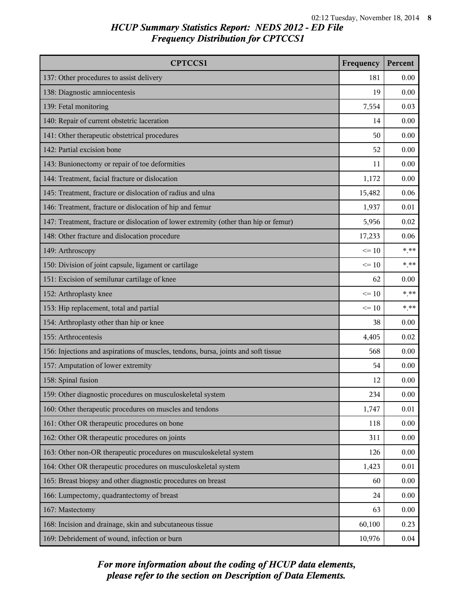| <b>CPTCCS1</b>                                                                       | Frequency | Percent |
|--------------------------------------------------------------------------------------|-----------|---------|
| 137: Other procedures to assist delivery                                             | 181       | 0.00    |
| 138: Diagnostic amniocentesis                                                        | 19        | 0.00    |
| 139: Fetal monitoring                                                                | 7,554     | 0.03    |
| 140: Repair of current obstetric laceration                                          | 14        | 0.00    |
| 141: Other therapeutic obstetrical procedures                                        | 50        | 0.00    |
| 142: Partial excision bone                                                           | 52        | 0.00    |
| 143: Bunionectomy or repair of toe deformities                                       | 11        | 0.00    |
| 144: Treatment, facial fracture or dislocation                                       | 1,172     | 0.00    |
| 145: Treatment, fracture or dislocation of radius and ulna                           | 15,482    | 0.06    |
| 146: Treatment, fracture or dislocation of hip and femur                             | 1,937     | 0.01    |
| 147: Treatment, fracture or dislocation of lower extremity (other than hip or femur) | 5,956     | 0.02    |
| 148: Other fracture and dislocation procedure                                        | 17,233    | 0.06    |
| 149: Arthroscopy                                                                     | $\leq 10$ | $***$   |
| 150: Division of joint capsule, ligament or cartilage                                | $\leq 10$ | $***$   |
| 151: Excision of semilunar cartilage of knee                                         | 62        | 0.00    |
| 152: Arthroplasty knee                                                               | $\leq 10$ | $***$   |
| 153: Hip replacement, total and partial                                              | $\leq 10$ | $***$   |
| 154: Arthroplasty other than hip or knee                                             | 38        | 0.00    |
| 155: Arthrocentesis                                                                  | 4,405     | 0.02    |
| 156: Injections and aspirations of muscles, tendons, bursa, joints and soft tissue   | 568       | 0.00    |
| 157: Amputation of lower extremity                                                   | 54        | 0.00    |
| 158: Spinal fusion                                                                   | 12        | 0.00    |
| 159: Other diagnostic procedures on musculoskeletal system                           | 234       | 0.00    |
| 160: Other therapeutic procedures on muscles and tendons                             | 1,747     | 0.01    |
| 161: Other OR therapeutic procedures on bone                                         | 118       | 0.00    |
| 162: Other OR therapeutic procedures on joints                                       | 311       | 0.00    |
| 163: Other non-OR therapeutic procedures on musculoskeletal system                   | 126       | 0.00    |
| 164: Other OR therapeutic procedures on musculoskeletal system                       | 1,423     | 0.01    |
| 165: Breast biopsy and other diagnostic procedures on breast                         | 60        | 0.00    |
| 166: Lumpectomy, quadrantectomy of breast                                            | 24        | 0.00    |
| 167: Mastectomy                                                                      | 63        | 0.00    |
| 168: Incision and drainage, skin and subcutaneous tissue                             | 60,100    | 0.23    |
| 169: Debridement of wound, infection or burn                                         | 10,976    | 0.04    |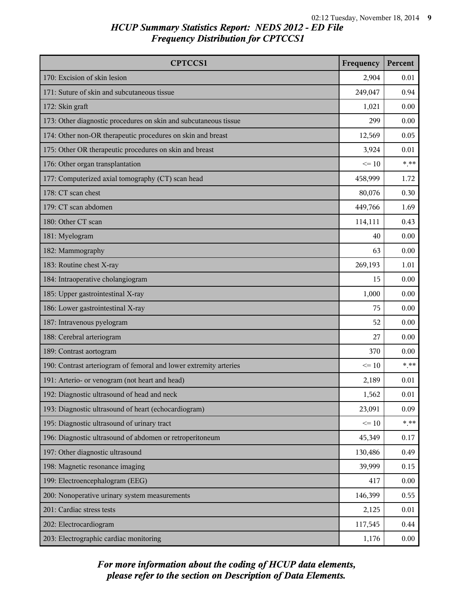| <b>CPTCCS1</b>                                                    | Frequency | Percent |
|-------------------------------------------------------------------|-----------|---------|
| 170: Excision of skin lesion                                      | 2,904     | 0.01    |
| 171: Suture of skin and subcutaneous tissue                       | 249,047   | 0.94    |
| 172: Skin graft                                                   | 1,021     | 0.00    |
| 173: Other diagnostic procedures on skin and subcutaneous tissue  | 299       | 0.00    |
| 174: Other non-OR therapeutic procedures on skin and breast       | 12,569    | 0.05    |
| 175: Other OR therapeutic procedures on skin and breast           | 3,924     | 0.01    |
| 176: Other organ transplantation                                  | $\leq 10$ | $***$   |
| 177: Computerized axial tomography (CT) scan head                 | 458,999   | 1.72    |
| 178: CT scan chest                                                | 80,076    | 0.30    |
| 179: CT scan abdomen                                              | 449,766   | 1.69    |
| 180: Other CT scan                                                | 114,111   | 0.43    |
| 181: Myelogram                                                    | 40        | 0.00    |
| 182: Mammography                                                  | 63        | 0.00    |
| 183: Routine chest X-ray                                          | 269,193   | 1.01    |
| 184: Intraoperative cholangiogram                                 | 15        | 0.00    |
| 185: Upper gastrointestinal X-ray                                 | 1,000     | 0.00    |
| 186: Lower gastrointestinal X-ray                                 | 75        | 0.00    |
| 187: Intravenous pyelogram                                        | 52        | 0.00    |
| 188: Cerebral arteriogram                                         | 27        | 0.00    |
| 189: Contrast aortogram                                           | 370       | 0.00    |
| 190: Contrast arteriogram of femoral and lower extremity arteries | $\leq 10$ | $***$   |
| 191: Arterio- or venogram (not heart and head)                    | 2,189     | 0.01    |
| 192: Diagnostic ultrasound of head and neck                       | 1,562     | 0.01    |
| 193: Diagnostic ultrasound of heart (echocardiogram)              | 23,091    | 0.09    |
| 195: Diagnostic ultrasound of urinary tract                       | $\leq 10$ | $***$   |
| 196: Diagnostic ultrasound of abdomen or retroperitoneum          | 45,349    | 0.17    |
| 197: Other diagnostic ultrasound                                  | 130,486   | 0.49    |
| 198: Magnetic resonance imaging                                   | 39,999    | 0.15    |
| 199: Electroencephalogram (EEG)                                   | 417       | 0.00    |
| 200: Nonoperative urinary system measurements                     | 146,399   | 0.55    |
| 201: Cardiac stress tests                                         | 2,125     | 0.01    |
| 202: Electrocardiogram                                            | 117,545   | 0.44    |
| 203: Electrographic cardiac monitoring                            | 1,176     | 0.00    |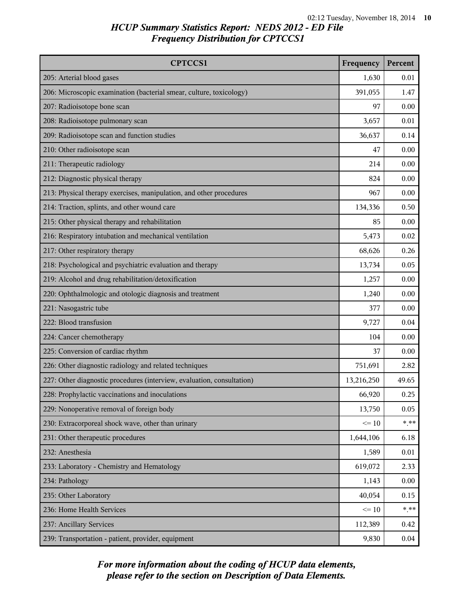| <b>CPTCCS1</b>                                                         | Frequency  | Percent |
|------------------------------------------------------------------------|------------|---------|
| 205: Arterial blood gases                                              | 1,630      | 0.01    |
| 206: Microscopic examination (bacterial smear, culture, toxicology)    | 391,055    | 1.47    |
| 207: Radioisotope bone scan                                            | 97         | 0.00    |
| 208: Radioisotope pulmonary scan                                       | 3,657      | 0.01    |
| 209: Radioisotope scan and function studies                            | 36,637     | 0.14    |
| 210: Other radioisotope scan                                           | 47         | 0.00    |
| 211: Therapeutic radiology                                             | 214        | 0.00    |
| 212: Diagnostic physical therapy                                       | 824        | 0.00    |
| 213: Physical therapy exercises, manipulation, and other procedures    | 967        | 0.00    |
| 214: Traction, splints, and other wound care                           | 134,336    | 0.50    |
| 215: Other physical therapy and rehabilitation                         | 85         | 0.00    |
| 216: Respiratory intubation and mechanical ventilation                 | 5,473      | 0.02    |
| 217: Other respiratory therapy                                         | 68,626     | 0.26    |
| 218: Psychological and psychiatric evaluation and therapy              | 13,734     | 0.05    |
| 219: Alcohol and drug rehabilitation/detoxification                    | 1,257      | 0.00    |
| 220: Ophthalmologic and otologic diagnosis and treatment               | 1,240      | 0.00    |
| 221: Nasogastric tube                                                  | 377        | 0.00    |
| 222: Blood transfusion                                                 | 9,727      | 0.04    |
| 224: Cancer chemotherapy                                               | 104        | 0.00    |
| 225: Conversion of cardiac rhythm                                      | 37         | 0.00    |
| 226: Other diagnostic radiology and related techniques                 | 751,691    | 2.82    |
| 227: Other diagnostic procedures (interview, evaluation, consultation) | 13,216,250 | 49.65   |
| 228: Prophylactic vaccinations and inoculations                        | 66,920     | 0.25    |
| 229: Nonoperative removal of foreign body                              | 13,750     | 0.05    |
| 230: Extracorporeal shock wave, other than urinary                     | $\leq 10$  | $* * *$ |
| 231: Other therapeutic procedures                                      | 1,644,106  | 6.18    |
| 232: Anesthesia                                                        | 1,589      | 0.01    |
| 233: Laboratory - Chemistry and Hematology                             | 619,072    | 2.33    |
| 234: Pathology                                                         | 1,143      | 0.00    |
| 235: Other Laboratory                                                  | 40,054     | 0.15    |
| 236: Home Health Services                                              | $\leq 10$  | $***$   |
| 237: Ancillary Services                                                | 112,389    | 0.42    |
| 239: Transportation - patient, provider, equipment                     | 9,830      | 0.04    |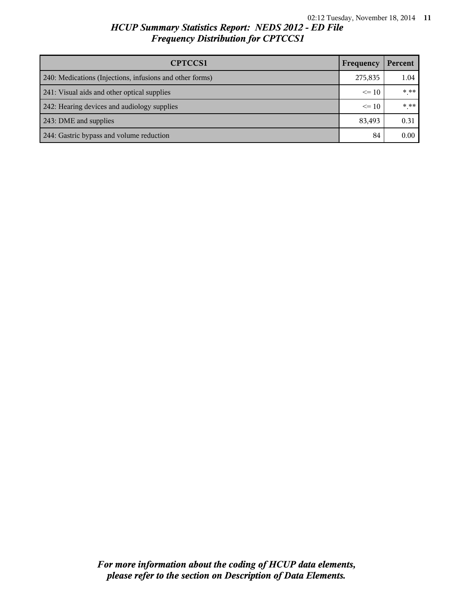| <b>CPTCCS1</b>                                           | Frequency | Percent |
|----------------------------------------------------------|-----------|---------|
| 240: Medications (Injections, infusions and other forms) | 275,835   | 1.04    |
| 241: Visual aids and other optical supplies              |           | $***$   |
| 242: Hearing devices and audiology supplies              |           | $***$   |
| 243: DME and supplies                                    |           | 0.31    |
| 244: Gastric bypass and volume reduction                 | 84        | 0.00    |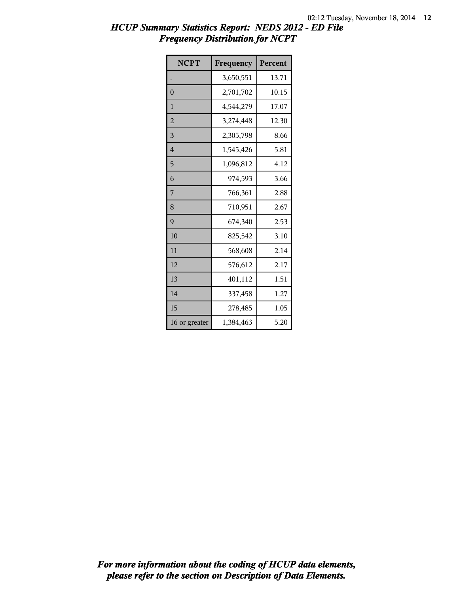| <b>NCPT</b>    | Frequency | Percent |
|----------------|-----------|---------|
|                | 3,650,551 | 13.71   |
| $\overline{0}$ | 2,701,702 | 10.15   |
| 1              | 4,544,279 | 17.07   |
| $\overline{2}$ | 3,274,448 | 12.30   |
| 3              | 2,305,798 | 8.66    |
| $\overline{4}$ | 1,545,426 | 5.81    |
| 5              | 1,096,812 | 4.12    |
| 6              | 974,593   | 3.66    |
| 7              | 766,361   | 2.88    |
| 8              | 710,951   | 2.67    |
| 9              | 674,340   | 2.53    |
| 10             | 825,542   | 3.10    |
| 11             | 568,608   | 2.14    |
| 12             | 576,612   | 2.17    |
| 13             | 401,112   | 1.51    |
| 14             | 337,458   | 1.27    |
| 15             | 278,485   | 1.05    |
| 16 or greater  | 1,384,463 | 5.20    |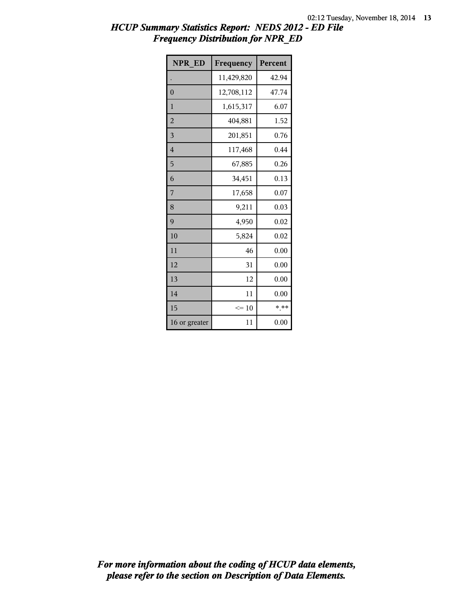| <b>NPR ED</b>  | Frequency  | Percent |
|----------------|------------|---------|
|                | 11,429,820 | 42.94   |
| $\overline{0}$ | 12,708,112 | 47.74   |
| $\mathbf{1}$   | 1,615,317  | 6.07    |
| $\overline{2}$ | 404,881    | 1.52    |
| 3              | 201,851    | 0.76    |
| $\overline{4}$ | 117,468    | 0.44    |
| 5              | 67,885     | 0.26    |
| 6              | 34,451     | 0.13    |
| 7              | 17,658     | 0.07    |
| 8              | 9,211      | 0.03    |
| 9              | 4,950      | 0.02    |
| 10             | 5,824      | 0.02    |
| 11             | 46         | 0.00    |
| 12             | 31         | 0.00    |
| 13             | 12         | 0.00    |
| 14             | 11         | 0.00    |
| 15             | $\leq 10$  | $* * *$ |
| 16 or greater  | 11         | 0.00    |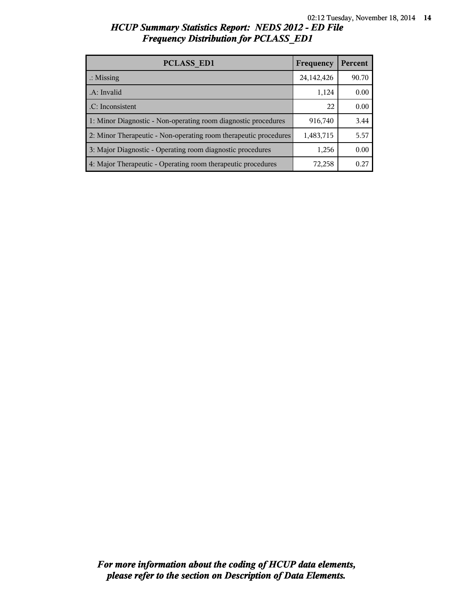| <b>PCLASS ED1</b>                                                | Frequency  | Percent |
|------------------------------------------------------------------|------------|---------|
| $\therefore$ Missing                                             | 24,142,426 | 90.70   |
| .A: Invalid                                                      | 1,124      | 0.00    |
| .C: Inconsistent                                                 | 22         | 0.00    |
| 1: Minor Diagnostic - Non-operating room diagnostic procedures   | 916,740    | 3.44    |
| 2: Minor Therapeutic - Non-operating room therapeutic procedures | 1,483,715  | 5.57    |
| 3: Major Diagnostic - Operating room diagnostic procedures       | 1,256      | 0.00    |
| 4: Major Therapeutic - Operating room therapeutic procedures     | 72,258     | 0.27    |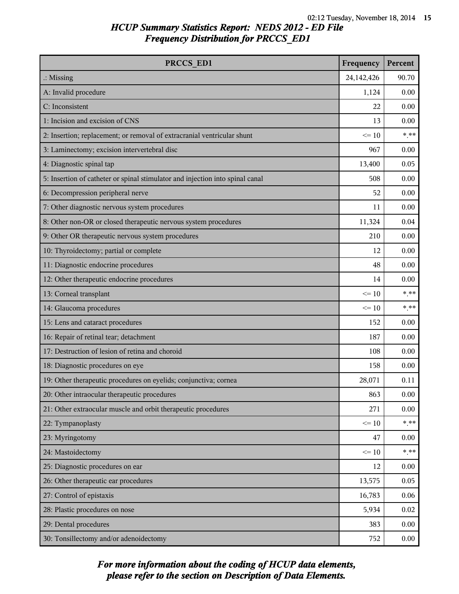| PRCCS ED1                                                                     | Frequency  | Percent |
|-------------------------------------------------------------------------------|------------|---------|
| $\therefore$ Missing                                                          | 24,142,426 | 90.70   |
| A: Invalid procedure                                                          | 1,124      | 0.00    |
| C: Inconsistent                                                               | 22         | 0.00    |
| 1: Incision and excision of CNS                                               | 13         | 0.00    |
| 2: Insertion; replacement; or removal of extracranial ventricular shunt       | $\leq 10$  | $***$   |
| 3: Laminectomy; excision intervertebral disc                                  | 967        | 0.00    |
| 4: Diagnostic spinal tap                                                      | 13,400     | 0.05    |
| 5: Insertion of catheter or spinal stimulator and injection into spinal canal | 508        | 0.00    |
| 6: Decompression peripheral nerve                                             | 52         | 0.00    |
| 7: Other diagnostic nervous system procedures                                 | 11         | 0.00    |
| 8: Other non-OR or closed therapeutic nervous system procedures               | 11,324     | 0.04    |
| 9: Other OR therapeutic nervous system procedures                             | 210        | 0.00    |
| 10: Thyroidectomy; partial or complete                                        | 12         | 0.00    |
| 11: Diagnostic endocrine procedures                                           | 48         | 0.00    |
| 12: Other therapeutic endocrine procedures                                    | 14         | 0.00    |
| 13: Corneal transplant                                                        | $\leq 10$  | $***$   |
| 14: Glaucoma procedures                                                       | $\leq 10$  | $***$   |
| 15: Lens and cataract procedures                                              | 152        | 0.00    |
| 16: Repair of retinal tear; detachment                                        | 187        | 0.00    |
| 17: Destruction of lesion of retina and choroid                               | 108        | 0.00    |
| 18: Diagnostic procedures on eye                                              | 158        | 0.00    |
| 19: Other therapeutic procedures on eyelids; conjunctiva; cornea              | 28,071     | 0.11    |
| 20: Other intraocular therapeutic procedures                                  | 863        | 0.00    |
| 21: Other extraocular muscle and orbit therapeutic procedures                 | 271        | 0.00    |
| 22: Tympanoplasty                                                             | $\leq 10$  | $* * *$ |
| 23: Myringotomy                                                               | 47         | 0.00    |
| 24: Mastoidectomy                                                             | $\leq 10$  | $***$   |
| 25: Diagnostic procedures on ear                                              | 12         | 0.00    |
| 26: Other therapeutic ear procedures                                          | 13,575     | 0.05    |
| 27: Control of epistaxis                                                      | 16,783     | 0.06    |
| 28: Plastic procedures on nose                                                | 5,934      | 0.02    |
| 29: Dental procedures                                                         | 383        | 0.00    |
| 30: Tonsillectomy and/or adenoidectomy                                        | 752        | 0.00    |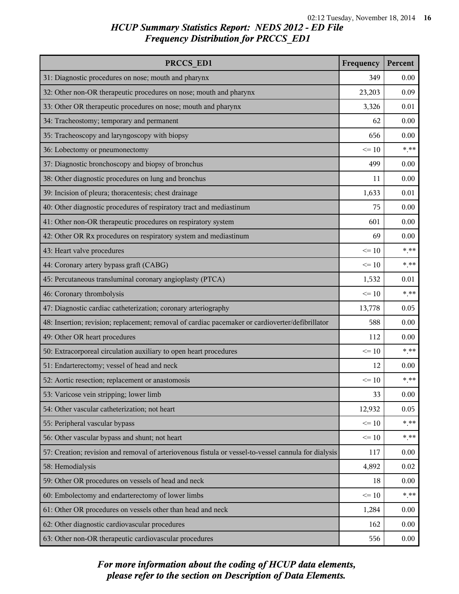| PRCCS ED1                                                                                            | Frequency | Percent        |
|------------------------------------------------------------------------------------------------------|-----------|----------------|
| 31: Diagnostic procedures on nose; mouth and pharynx                                                 | 349       | 0.00           |
| 32: Other non-OR therapeutic procedures on nose; mouth and pharynx                                   | 23,203    | 0.09           |
| 33: Other OR therapeutic procedures on nose; mouth and pharynx                                       | 3,326     | 0.01           |
| 34: Tracheostomy; temporary and permanent                                                            | 62        | 0.00           |
| 35: Tracheoscopy and laryngoscopy with biopsy                                                        | 656       | 0.00           |
| 36: Lobectomy or pneumonectomy                                                                       | $\leq 10$ | $***$          |
| 37: Diagnostic bronchoscopy and biopsy of bronchus                                                   | 499       | 0.00           |
| 38: Other diagnostic procedures on lung and bronchus                                                 | 11        | 0.00           |
| 39: Incision of pleura; thoracentesis; chest drainage                                                | 1,633     | 0.01           |
| 40: Other diagnostic procedures of respiratory tract and mediastinum                                 | 75        | 0.00           |
| 41: Other non-OR therapeutic procedures on respiratory system                                        | 601       | 0.00           |
| 42: Other OR Rx procedures on respiratory system and mediastinum                                     | 69        | 0.00           |
| 43: Heart valve procedures                                                                           | $\leq 10$ | $***$          |
| 44: Coronary artery bypass graft (CABG)                                                              | $\leq 10$ | $\ast\ast\ast$ |
| 45: Percutaneous transluminal coronary angioplasty (PTCA)                                            | 1,532     | 0.01           |
| 46: Coronary thrombolysis                                                                            | $\leq 10$ | $***$          |
| 47: Diagnostic cardiac catheterization; coronary arteriography                                       | 13,778    | 0.05           |
| 48: Insertion; revision; replacement; removal of cardiac pacemaker or cardioverter/defibrillator     | 588       | 0.00           |
| 49: Other OR heart procedures                                                                        | 112       | 0.00           |
| 50: Extracorporeal circulation auxiliary to open heart procedures                                    | $\leq 10$ | $***$          |
| 51: Endarterectomy; vessel of head and neck                                                          | 12        | 0.00           |
| 52: Aortic resection; replacement or anastomosis                                                     | $\leq 10$ | $***$          |
| 53: Varicose vein stripping; lower limb                                                              | 33        | 0.00           |
| 54: Other vascular catheterization; not heart                                                        | 12,932    | 0.05           |
| 55: Peripheral vascular bypass                                                                       | $\leq 10$ | $***$          |
| 56: Other vascular bypass and shunt; not heart                                                       | $\leq 10$ | $***$          |
| 57: Creation; revision and removal of arteriovenous fistula or vessel-to-vessel cannula for dialysis | 117       | 0.00           |
| 58: Hemodialysis                                                                                     | 4,892     | 0.02           |
| 59: Other OR procedures on vessels of head and neck                                                  | 18        | 0.00           |
| 60: Embolectomy and endarterectomy of lower limbs                                                    | $\leq 10$ | $***$          |
| 61: Other OR procedures on vessels other than head and neck                                          | 1,284     | 0.00           |
| 62: Other diagnostic cardiovascular procedures                                                       | 162       | 0.00           |
| 63: Other non-OR therapeutic cardiovascular procedures                                               | 556       | 0.00           |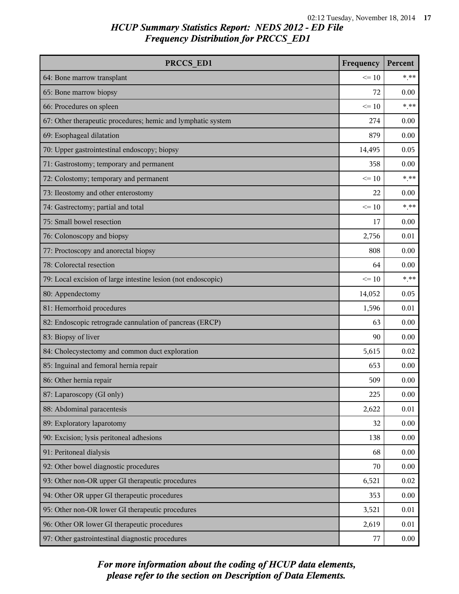| PRCCS ED1                                                     | Frequency | Percent |
|---------------------------------------------------------------|-----------|---------|
| 64: Bone marrow transplant                                    | $\leq 10$ | $***$   |
| 65: Bone marrow biopsy                                        | 72        | 0.00    |
| 66: Procedures on spleen                                      | $\leq 10$ | $***$   |
| 67: Other therapeutic procedures; hemic and lymphatic system  | 274       | 0.00    |
| 69: Esophageal dilatation                                     | 879       | 0.00    |
| 70: Upper gastrointestinal endoscopy; biopsy                  | 14,495    | 0.05    |
| 71: Gastrostomy; temporary and permanent                      | 358       | 0.00    |
| 72: Colostomy; temporary and permanent                        | $\leq 10$ | $***$   |
| 73: Ileostomy and other enterostomy                           | 22        | 0.00    |
| 74: Gastrectomy; partial and total                            | $\leq 10$ | $* * *$ |
| 75: Small bowel resection                                     | 17        | 0.00    |
| 76: Colonoscopy and biopsy                                    | 2,756     | 0.01    |
| 77: Proctoscopy and anorectal biopsy                          | 808       | 0.00    |
| 78: Colorectal resection                                      | 64        | 0.00    |
| 79: Local excision of large intestine lesion (not endoscopic) | $\leq 10$ | $***$   |
| 80: Appendectomy                                              | 14,052    | 0.05    |
| 81: Hemorrhoid procedures                                     | 1,596     | 0.01    |
| 82: Endoscopic retrograde cannulation of pancreas (ERCP)      | 63        | 0.00    |
| 83: Biopsy of liver                                           | 90        | 0.00    |
| 84: Cholecystectomy and common duct exploration               | 5,615     | 0.02    |
| 85: Inguinal and femoral hernia repair                        | 653       | 0.00    |
| 86: Other hernia repair                                       | 509       | 0.00    |
| 87: Laparoscopy (GI only)                                     | 225       | 0.00    |
| 88: Abdominal paracentesis                                    | 2,622     | 0.01    |
| 89: Exploratory laparotomy                                    | 32        | 0.00    |
| 90: Excision; lysis peritoneal adhesions                      | 138       | 0.00    |
| 91: Peritoneal dialysis                                       | 68        | 0.00    |
| 92: Other bowel diagnostic procedures                         | 70        | 0.00    |
| 93: Other non-OR upper GI therapeutic procedures              | 6,521     | 0.02    |
| 94: Other OR upper GI therapeutic procedures                  | 353       | 0.00    |
| 95: Other non-OR lower GI therapeutic procedures              | 3,521     | 0.01    |
| 96: Other OR lower GI therapeutic procedures                  | 2,619     | 0.01    |
| 97: Other gastrointestinal diagnostic procedures              | 77        | 0.00    |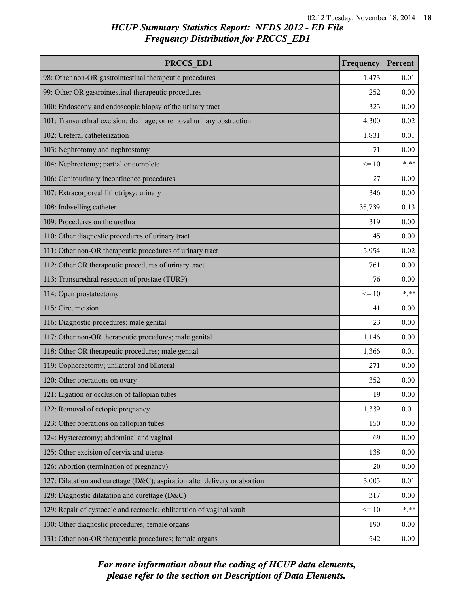| PRCCS ED1                                                                  | Frequency | Percent |
|----------------------------------------------------------------------------|-----------|---------|
| 98: Other non-OR gastrointestinal therapeutic procedures                   | 1,473     | 0.01    |
| 99: Other OR gastrointestinal therapeutic procedures                       | 252       | 0.00    |
| 100: Endoscopy and endoscopic biopsy of the urinary tract                  | 325       | 0.00    |
| 101: Transurethral excision; drainage; or removal urinary obstruction      | 4,300     | 0.02    |
| 102: Ureteral catheterization                                              | 1,831     | 0.01    |
| 103: Nephrotomy and nephrostomy                                            | 71        | 0.00    |
| 104: Nephrectomy; partial or complete                                      | $\leq 10$ | $***$   |
| 106: Genitourinary incontinence procedures                                 | 27        | 0.00    |
| 107: Extracorporeal lithotripsy; urinary                                   | 346       | 0.00    |
| 108: Indwelling catheter                                                   | 35,739    | 0.13    |
| 109: Procedures on the urethra                                             | 319       | 0.00    |
| 110: Other diagnostic procedures of urinary tract                          | 45        | 0.00    |
| 111: Other non-OR therapeutic procedures of urinary tract                  | 5,954     | 0.02    |
| 112: Other OR therapeutic procedures of urinary tract                      | 761       | 0.00    |
| 113: Transurethral resection of prostate (TURP)                            | 76        | 0.00    |
| 114: Open prostatectomy                                                    | $\leq 10$ | $***$   |
| 115: Circumcision                                                          | 41        | 0.00    |
| 116: Diagnostic procedures; male genital                                   | 23        | 0.00    |
| 117: Other non-OR therapeutic procedures; male genital                     | 1,146     | 0.00    |
| 118: Other OR therapeutic procedures; male genital                         | 1,366     | 0.01    |
| 119: Oophorectomy; unilateral and bilateral                                | 271       | 0.00    |
| 120: Other operations on ovary                                             | 352       | 0.00    |
| 121: Ligation or occlusion of fallopian tubes                              | 19        | 0.00    |
| 122: Removal of ectopic pregnancy                                          | 1,339     | 0.01    |
| 123: Other operations on fallopian tubes                                   | 150       | 0.00    |
| 124: Hysterectomy; abdominal and vaginal                                   | 69        | 0.00    |
| 125: Other excision of cervix and uterus                                   | 138       | 0.00    |
| 126: Abortion (termination of pregnancy)                                   | 20        | 0.00    |
| 127: Dilatation and curettage (D&C); aspiration after delivery or abortion | 3,005     | 0.01    |
| 128: Diagnostic dilatation and curettage (D&C)                             | 317       | 0.00    |
| 129: Repair of cystocele and rectocele; obliteration of vaginal vault      | $\leq 10$ | $***$   |
| 130: Other diagnostic procedures; female organs                            | 190       | 0.00    |
| 131: Other non-OR therapeutic procedures; female organs                    | 542       | 0.00    |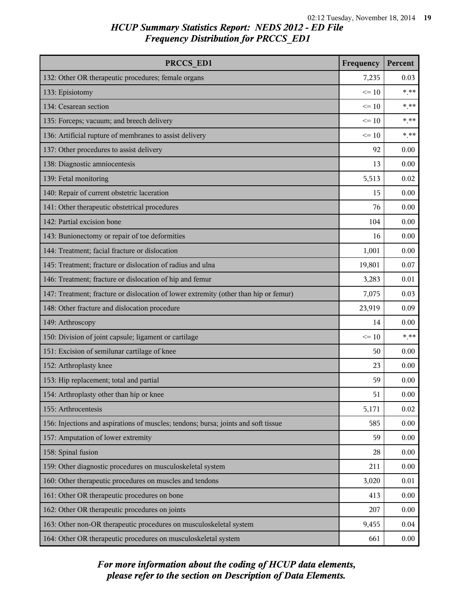| PRCCS ED1                                                                            | Frequency | Percent |
|--------------------------------------------------------------------------------------|-----------|---------|
| 132: Other OR therapeutic procedures; female organs                                  | 7,235     | 0.03    |
| 133: Episiotomy                                                                      | $\leq 10$ | $***$   |
| 134: Cesarean section                                                                | $\leq 10$ | $***$   |
| 135: Forceps; vacuum; and breech delivery                                            | $\leq 10$ | $* * *$ |
| 136: Artificial rupture of membranes to assist delivery                              | $\leq 10$ | $* * *$ |
| 137: Other procedures to assist delivery                                             | 92        | 0.00    |
| 138: Diagnostic amniocentesis                                                        | 13        | 0.00    |
| 139: Fetal monitoring                                                                | 5,513     | 0.02    |
| 140: Repair of current obstetric laceration                                          | 15        | 0.00    |
| 141: Other therapeutic obstetrical procedures                                        | 76        | 0.00    |
| 142: Partial excision bone                                                           | 104       | 0.00    |
| 143: Bunionectomy or repair of toe deformities                                       | 16        | 0.00    |
| 144: Treatment; facial fracture or dislocation                                       | 1,001     | 0.00    |
| 145: Treatment; fracture or dislocation of radius and ulna                           | 19,801    | 0.07    |
| 146: Treatment; fracture or dislocation of hip and femur                             | 3,283     | 0.01    |
| 147: Treatment; fracture or dislocation of lower extremity (other than hip or femur) | 7,075     | 0.03    |
| 148: Other fracture and dislocation procedure                                        | 23,919    | 0.09    |
| 149: Arthroscopy                                                                     | 14        | 0.00    |
| 150: Division of joint capsule; ligament or cartilage                                | $\leq 10$ | $***$   |
| 151: Excision of semilunar cartilage of knee                                         | 50        | 0.00    |
| 152: Arthroplasty knee                                                               | 23        | 0.00    |
| 153: Hip replacement; total and partial                                              | 59        | 0.00    |
| 154: Arthroplasty other than hip or knee                                             | 51        | 0.00    |
| 155: Arthrocentesis                                                                  | 5,171     | 0.02    |
| 156: Injections and aspirations of muscles; tendons; bursa; joints and soft tissue   | 585       | 0.00    |
| 157: Amputation of lower extremity                                                   | 59        | 0.00    |
| 158: Spinal fusion                                                                   | 28        | 0.00    |
| 159: Other diagnostic procedures on musculoskeletal system                           | 211       | 0.00    |
| 160: Other therapeutic procedures on muscles and tendons                             | 3,020     | 0.01    |
| 161: Other OR therapeutic procedures on bone                                         | 413       | 0.00    |
| 162: Other OR therapeutic procedures on joints                                       | 207       | 0.00    |
| 163: Other non-OR therapeutic procedures on musculoskeletal system                   | 9,455     | 0.04    |
| 164: Other OR therapeutic procedures on musculoskeletal system                       | 661       | 0.00    |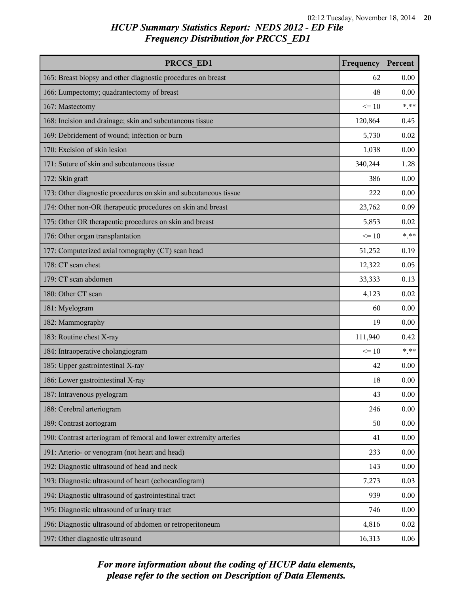| PRCCS ED1                                                         | Frequency | Percent |
|-------------------------------------------------------------------|-----------|---------|
| 165: Breast biopsy and other diagnostic procedures on breast      | 62        | 0.00    |
| 166: Lumpectomy; quadrantectomy of breast                         | 48        | 0.00    |
| 167: Mastectomy                                                   | $\leq 10$ | $***$   |
| 168: Incision and drainage; skin and subcutaneous tissue          | 120,864   | 0.45    |
| 169: Debridement of wound; infection or burn                      | 5,730     | 0.02    |
| 170: Excision of skin lesion                                      | 1,038     | 0.00    |
| 171: Suture of skin and subcutaneous tissue                       | 340,244   | 1.28    |
| 172: Skin graft                                                   | 386       | 0.00    |
| 173: Other diagnostic procedures on skin and subcutaneous tissue  | 222       | 0.00    |
| 174: Other non-OR therapeutic procedures on skin and breast       | 23,762    | 0.09    |
| 175: Other OR therapeutic procedures on skin and breast           | 5,853     | 0.02    |
| 176: Other organ transplantation                                  | $\leq 10$ | $***$   |
| 177: Computerized axial tomography (CT) scan head                 | 51,252    | 0.19    |
| 178: CT scan chest                                                | 12,322    | 0.05    |
| 179: CT scan abdomen                                              | 33,333    | 0.13    |
| 180: Other CT scan                                                | 4,123     | 0.02    |
| 181: Myelogram                                                    | 60        | 0.00    |
| 182: Mammography                                                  | 19        | 0.00    |
| 183: Routine chest X-ray                                          | 111,940   | 0.42    |
| 184: Intraoperative cholangiogram                                 | $\leq 10$ | $***$   |
| 185: Upper gastrointestinal X-ray                                 | 42        | 0.00    |
| 186: Lower gastrointestinal X-ray                                 | 18        | 0.00    |
| 187: Intravenous pyelogram                                        | 43        | 0.00    |
| 188: Cerebral arteriogram                                         | 246       | 0.00    |
| 189: Contrast aortogram                                           | 50        | 0.00    |
| 190: Contrast arteriogram of femoral and lower extremity arteries | 41        | 0.00    |
| 191: Arterio- or venogram (not heart and head)                    | 233       | 0.00    |
| 192: Diagnostic ultrasound of head and neck                       | 143       | 0.00    |
| 193: Diagnostic ultrasound of heart (echocardiogram)              | 7,273     | 0.03    |
| 194: Diagnostic ultrasound of gastrointestinal tract              | 939       | 0.00    |
| 195: Diagnostic ultrasound of urinary tract                       | 746       | 0.00    |
| 196: Diagnostic ultrasound of abdomen or retroperitoneum          | 4,816     | 0.02    |
| 197: Other diagnostic ultrasound                                  | 16,313    | 0.06    |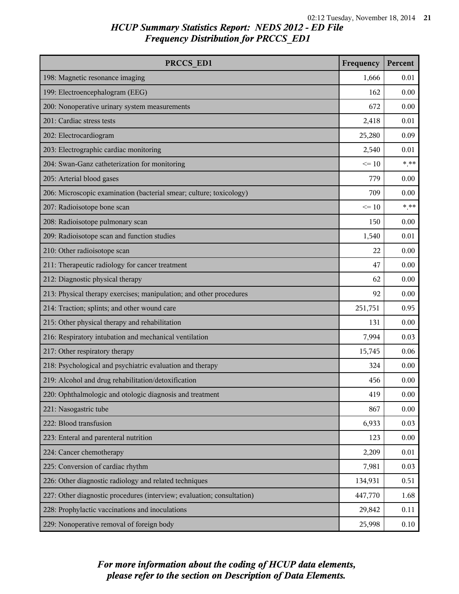| PRCCS ED1                                                              | Frequency | Percent |
|------------------------------------------------------------------------|-----------|---------|
| 198: Magnetic resonance imaging                                        | 1,666     | 0.01    |
| 199: Electroencephalogram (EEG)                                        | 162       | 0.00    |
| 200: Nonoperative urinary system measurements                          | 672       | 0.00    |
| 201: Cardiac stress tests                                              | 2,418     | 0.01    |
| 202: Electrocardiogram                                                 | 25,280    | 0.09    |
| 203: Electrographic cardiac monitoring                                 | 2,540     | 0.01    |
| 204: Swan-Ganz catheterization for monitoring                          | $\leq 10$ | $*$ **  |
| 205: Arterial blood gases                                              | 779       | 0.00    |
| 206: Microscopic examination (bacterial smear; culture; toxicology)    | 709       | 0.00    |
| 207: Radioisotope bone scan                                            | $\leq 10$ | $***$   |
| 208: Radioisotope pulmonary scan                                       | 150       | 0.00    |
| 209: Radioisotope scan and function studies                            | 1,540     | 0.01    |
| 210: Other radioisotope scan                                           | 22        | 0.00    |
| 211: Therapeutic radiology for cancer treatment                        | 47        | 0.00    |
| 212: Diagnostic physical therapy                                       | 62        | 0.00    |
| 213: Physical therapy exercises; manipulation; and other procedures    | 92        | 0.00    |
| 214: Traction; splints; and other wound care                           | 251,751   | 0.95    |
| 215: Other physical therapy and rehabilitation                         | 131       | 0.00    |
| 216: Respiratory intubation and mechanical ventilation                 | 7,994     | 0.03    |
| 217: Other respiratory therapy                                         | 15,745    | 0.06    |
| 218: Psychological and psychiatric evaluation and therapy              | 324       | 0.00    |
| 219: Alcohol and drug rehabilitation/detoxification                    | 456       | 0.00    |
| 220: Ophthalmologic and otologic diagnosis and treatment               | 419       | 0.00    |
| 221: Nasogastric tube                                                  | 867       | 0.00    |
| 222: Blood transfusion                                                 | 6,933     | 0.03    |
| 223: Enteral and parenteral nutrition                                  | 123       | 0.00    |
| 224: Cancer chemotherapy                                               | 2,209     | 0.01    |
| 225: Conversion of cardiac rhythm                                      | 7,981     | 0.03    |
| 226: Other diagnostic radiology and related techniques                 | 134,931   | 0.51    |
| 227: Other diagnostic procedures (interview; evaluation; consultation) | 447,770   | 1.68    |
| 228: Prophylactic vaccinations and inoculations                        | 29,842    | 0.11    |
| 229: Nonoperative removal of foreign body                              | 25,998    | 0.10    |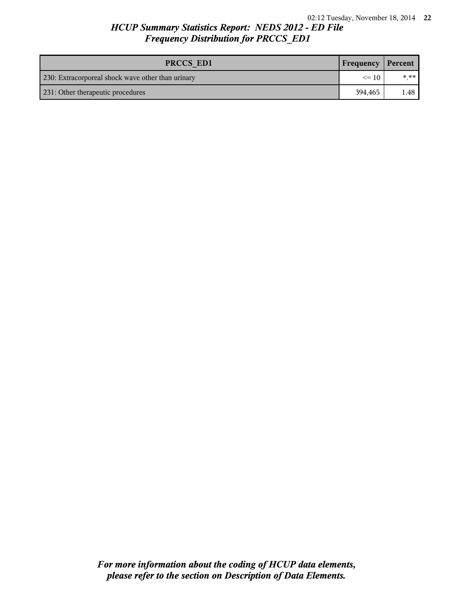| PRCCS ED1                                         | <b>Frequency Percent</b> |      |
|---------------------------------------------------|--------------------------|------|
| 230: Extracorporeal shock wave other than urinary | $\leq$ 10                | * ** |
| 231: Other therapeutic procedures                 | 394.465                  | 1.48 |